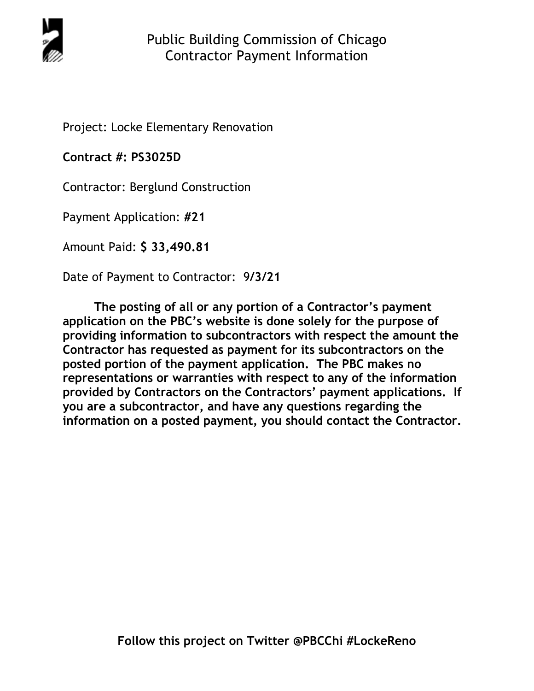

Project: Locke Elementary Renovation

**Contract #: PS3025D**

Contractor: Berglund Construction

Payment Application: **#21** 

Amount Paid: **\$ 33,490.81** 

Date of Payment to Contractor: 9**/3/21** 

**The posting of all or any portion of a Contractor's payment application on the PBC's website is done solely for the purpose of providing information to subcontractors with respect the amount the Contractor has requested as payment for its subcontractors on the posted portion of the payment application. The PBC makes no representations or warranties with respect to any of the information provided by Contractors on the Contractors' payment applications. If you are a subcontractor, and have any questions regarding the information on a posted payment, you should contact the Contractor.**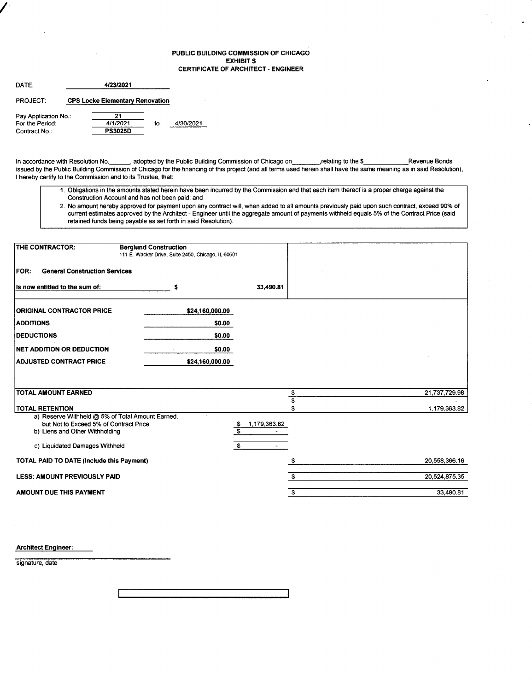### PUBLIC BUILDING COMMISSION OF CHICAGO EXHIBIT S CERTIFICATE OF ARCHITECT. ENGINEER

| DATE:                |                                        |    |           |
|----------------------|----------------------------------------|----|-----------|
| PROJECT:             | <b>CPS Locke Elementary Renovation</b> |    |           |
| Pay Application No.: |                                        |    |           |
| For the Period:      | 4/1/2021                               | to | 4/30/2021 |
| Contract No.:        | <b>PS3025D</b>                         |    |           |

/

In accordance with Resolution No. \_\_\_\_\_, adopted by the Public Building Commission of Chicago on\_\_\_\_\_\_\_\_\_, relating to the \$\_\_\_\_\_\_\_\_\_\_\_\_Revenue Bonds issued by the Public Building Commission of Chicago for the financing of this project (and all terms used herein shall have the same meaning as in said Resolution), I hereby certify to the Commission and to its Trustee, that:

- 1. Obligations in the amounts stated herein have been incuned by the Commission and that each item thereof is a proper charge against the Construction Account and has not been paid; and
- 2. No amount hereby approved for payment upon any contract will, when added to all amounts previously paid upon such contract, exceed 90% of current estimates approved by the Architect - Engineer until the aggregate amount of payments withheld equals 5% of the Contract Price (said retained funds being payable as set forth in said Resolution).

| THE CONTRACTOR:                                                                                                              | <b>Berglund Construction</b><br>111 E. Wacker Drive, Suite 2450, Chicago, IL 60601 |                                |               |
|------------------------------------------------------------------------------------------------------------------------------|------------------------------------------------------------------------------------|--------------------------------|---------------|
| <b>General Construction Services</b><br><b>FOR:</b>                                                                          |                                                                                    |                                |               |
| Is now entitled to the sum of:                                                                                               | s                                                                                  | 33,490.81                      |               |
| <b>ORIGINAL CONTRACTOR PRICE</b>                                                                                             | \$24,160,000.00                                                                    |                                |               |
| <b>ADDITIONS</b>                                                                                                             | \$0.00                                                                             |                                |               |
| <b>IDEDUCTIONS</b>                                                                                                           | \$0.00                                                                             |                                |               |
| <b>INET ADDITION OR DEDUCTION</b>                                                                                            | \$0.00                                                                             |                                |               |
| <b>ADJUSTED CONTRACT PRICE</b>                                                                                               | \$24,160,000.00                                                                    |                                |               |
|                                                                                                                              |                                                                                    |                                |               |
| <b>TOTAL AMOUNT EARNED</b>                                                                                                   |                                                                                    | \$                             | 21,737,729.98 |
| <b>TOTAL RETENTION</b>                                                                                                       |                                                                                    | S.                             | 1,179,363.82  |
| a) Reserve Withheld @ 5% of Total Amount Earned,<br>but Not to Exceed 5% of Contract Price<br>b) Liens and Other Withholding |                                                                                    | 1,179,363.82<br><u>ತ</u><br>s. |               |
| c) Liquidated Damages Withheld                                                                                               |                                                                                    | - \$<br>$\blacksquare$         |               |
| TOTAL PAID TO DATE (Include this Payment)                                                                                    |                                                                                    |                                | 20,558,366.16 |
| <b>LESS: AMOUNT PREVIOUSLY PAID</b>                                                                                          |                                                                                    | £.                             | 20,524,875.35 |
| AMOUNT DUE THIS PAYMENT                                                                                                      |                                                                                    | \$                             | 33,490.81     |

Architect Engineer:

signature, date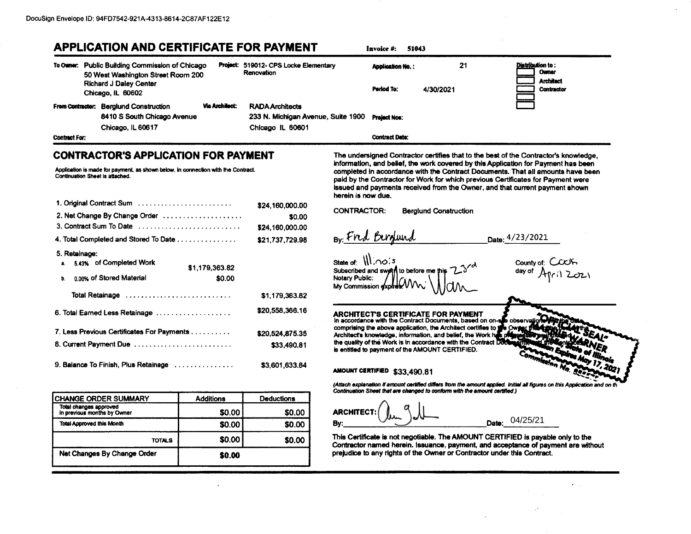# **APPLICATION AND CERTIFICATE FOR PAYMENT**

Invoice #: 51043

|                      | To Owner: Public Building Commission of Chicago<br>50 West Washington Street Room 200 |                       | Project: 519012- CPS Locke Elementary<br>Renovation          | <b>Application No.:</b> | 21        | <b>Distribution to:</b><br><b>Owner</b><br><b>Architect</b> |
|----------------------|---------------------------------------------------------------------------------------|-----------------------|--------------------------------------------------------------|-------------------------|-----------|-------------------------------------------------------------|
|                      | <b>Richard J Daley Center</b><br>Chicago, IL 60602                                    |                       |                                                              | Period To:              | 4/30/2021 | <b>Contractor</b>                                           |
|                      | From Contractor: Berglund Construction<br>8410 S South Chicago Avenue                 | <b>Via Architect:</b> | <b>RADA Architects</b><br>233 N. Michigan Avenue, Suite 1900 | <b>Project Nos:</b>     |           |                                                             |
|                      | Chicago, IL 60617                                                                     |                       | Chicago IL 60601                                             |                         |           |                                                             |
| <b>Contract For:</b> |                                                                                       |                       |                                                              | <b>Contract Date:</b>   |           |                                                             |

## **CONTRACTOR'S APPLICATION FOR PAYMENT**

Application is made for payment, as shown below, in connection with the Contract. Continuation Sheet is attached.

| 1. Original Contract Sum                                      | \$24,160,000,00 |
|---------------------------------------------------------------|-----------------|
| 2. Net Change By Change Order                                 | \$0.00          |
| 3. Contract Sum To Date                                       | \$24,160,000.00 |
| 4. Total Completed and Stored To Date                         | \$21,737,729,98 |
| 5. Retainage:<br>a. 5.43% of Completed Work<br>\$1,179,363.82 |                 |
| 0.00% of Stored Material<br>\$0.00<br>b.                      |                 |
| Total Retainage                                               | \$1,179,363.82  |
| 6. Total Earned Less Retainage                                | \$20,558,366,16 |
| 7. Less Previous Certificates For Payments                    | \$20.524,875.35 |
| 8. Current Payment Due                                        | \$33,490.81     |
| 9. Balance To Finish, Plus Retainage                          | \$3.601.633.84  |

| <b>CHANGE ORDER SUMMARY</b>                           | <b>Additions</b> | <b>Deductions</b> |
|-------------------------------------------------------|------------------|-------------------|
| Total changes approved<br>in previous months by Owner | \$0.00           | \$0.00            |
| <b>Total Approved this Month</b>                      | \$0.00           | \$0.00            |
| <b>TOTALS</b>                                         | \$0.00           | \$0.00            |
| Net Changes By Change Order                           | \$0.00           |                   |

The undersigned Contractor certifies that to the best of the Contractor's knowledge, information, and belief, the work covered by this Application for Payment has been completed in accordance with the Contract Documents. That all amounts have been paid by the Contractor for Work for which previous Certificates for Payment were issued and payments received from the Owner, and that current payment shown herein is now due.

**CONTRACTOR: Berglund Construction** 

By Fred Bergund

Date: 4/23/2021

day of

County of: C

State of:  $\left\{ \left\{ \right\} ,\cap \circ \right\}$  5 Subscribed and swe to before me Notary Public: My Commission expl

### **ARCHITECT'S CERTIFICATE FOR PAYMENT** In accordance with the Contract Documents, based on on-see observ

comprising the above application, the Architect certifies to # Architect's knowledge, information, and belief, the Work he the quality of the Work is in accordance with the Contract Doc is entitled to payment of the AMOUNT CERTIFIED.

AMOUNT CERTIFIED \$33,490.81

(Attach explanation if amount certified differs from the amount applied. Initial all figures on this Application and on th Continuation Sheet that are changed to conform with the amount certified.)

**ARCHITECT:** Date: 04/25/21 Bv:

This Certificate is not negotiable. The AMOUNT CERTIFIED is payable only to the Contractor named herein. Issuance, payment, and acceptance of payment are without prejudice to any rights of the Owner or Contractor under this Contract.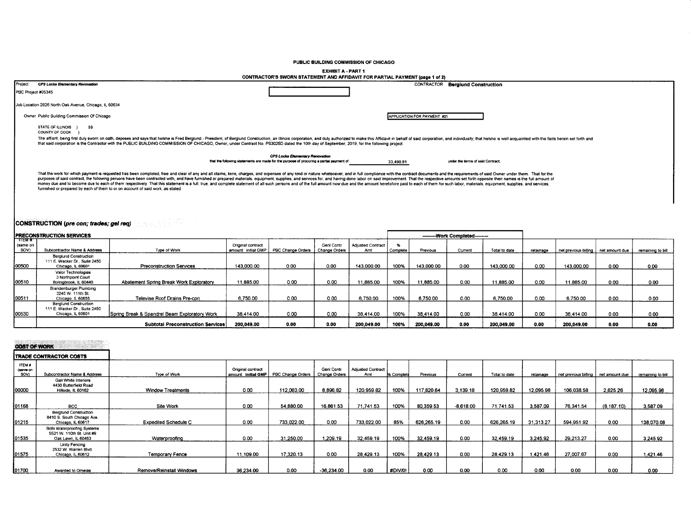#### PUBLIC BUILDING COMMISSION OF CHICAGO

#### **EXHIBIT A - PART 1**

|                                                                                                                                                                                                                                                                                                                                                                                                                                                                                                                                                                                                                                                                                                                                                                                       | CONTRACTOR'S SWORN STATEMENT AND AFFIDAVIT FOR PARTIAL PAYMENT (page 1 of 2)                                                             |                                   |
|---------------------------------------------------------------------------------------------------------------------------------------------------------------------------------------------------------------------------------------------------------------------------------------------------------------------------------------------------------------------------------------------------------------------------------------------------------------------------------------------------------------------------------------------------------------------------------------------------------------------------------------------------------------------------------------------------------------------------------------------------------------------------------------|------------------------------------------------------------------------------------------------------------------------------------------|-----------------------------------|
| Project<br>CPS Locke Elementary Revovation                                                                                                                                                                                                                                                                                                                                                                                                                                                                                                                                                                                                                                                                                                                                            | CONTRACTOR                                                                                                                               | <b>Berglund Construction</b>      |
| PBC Project #05345                                                                                                                                                                                                                                                                                                                                                                                                                                                                                                                                                                                                                                                                                                                                                                    |                                                                                                                                          |                                   |
| Job Location 2828 North Oak Avenue, Chicago, IL 60634                                                                                                                                                                                                                                                                                                                                                                                                                                                                                                                                                                                                                                                                                                                                 |                                                                                                                                          |                                   |
| Owner Public Building Commission Of Chicago                                                                                                                                                                                                                                                                                                                                                                                                                                                                                                                                                                                                                                                                                                                                           | APPLICATION FOR PAYMENT #21                                                                                                              |                                   |
| STATE OF ILLINOIS }<br>SS<br>COUNTY OF COOK                                                                                                                                                                                                                                                                                                                                                                                                                                                                                                                                                                                                                                                                                                                                           |                                                                                                                                          |                                   |
| The affiant, being first duly swom on oath, deposes and says that he/she is Fred Bergiund - President, of Bergiund Construction, an Illinois corporation, and duly authorized to make this Affidavit in behalf of said corpora<br>that said corporation is the Contractor with the PUBLIC BUILDING COMMISSION OF CHICAGO, Owner, under Contract No. PS3025D dated the 10th day of September, 2019, for the following project:                                                                                                                                                                                                                                                                                                                                                         |                                                                                                                                          |                                   |
|                                                                                                                                                                                                                                                                                                                                                                                                                                                                                                                                                                                                                                                                                                                                                                                       | CPS Locke Elementary Renovation<br>that the following statements are made for the purpose of procuring a partial payment of<br>33,490.81 | under the terms of said Contract: |
| That the work for which payment is requested has been completed, free and clear of any and all claims, liens, charges, and expenses of any kind or nature whatsoever, and in full compliance with the contract documents and t<br>purposes of said contract, the following persons have been contracted with, and have furnished or prepared materials, equipment, supplies, and services for, and having done labor on said improvement. That the respective am<br>money due and to become due to each of them respectively. That this statement is a full, true, and complete statement of all such persons and of the full amount now due and the amount heretofore paid to each of them for su<br>furnished or prepared by each of them to or on account of said work, as stated: |                                                                                                                                          |                                   |

# **CONSTRUCTION (pre con; trades; gel req)**

| <b>PRECONSTRUCTION SERVICES</b><br>---------Work Completed-------- |                                                                                    |                                               |                                          |                   |                             |                                 |          |            |         |               |           |                                       |      |                   |
|--------------------------------------------------------------------|------------------------------------------------------------------------------------|-----------------------------------------------|------------------------------------------|-------------------|-----------------------------|---------------------------------|----------|------------|---------|---------------|-----------|---------------------------------------|------|-------------------|
| TTEM <sub>#</sub><br>(same on<br>SOV)                              | Subcontractor Name & Address                                                       | Type of Work                                  | Original contract<br>amount: initial GMP | PBC Change Orders | Geni Contr<br>Change Orders | <b>Adjusted Contract</b><br>Amt | Complete | Previous   | Current | Total to date | retainage | net previous billing   net amount due |      | remaining to bill |
| 00500                                                              | <b>Berglund Construction</b><br>111 E. Wacker Dr., Suite 2450<br>Chicago, IL 60601 | <b>Preconstruction Services</b>               | 143,000.00                               | 0.00              | 0.00                        | 143.000.00                      | 100%     | 143.000.00 | 0.00    | 143,000.00    | 0.00      | 143,000.00                            | 0.00 | 0.00              |
| 00510                                                              | Valor Technologies<br>3 Northpoint Court<br>Bolingbrook, IL 60440                  | Abatement Spring Break Work Exploratory       | 11.885.00                                | 0.00              | 0.00                        | 11.885.00                       | 100%     | 11.885.00  | 0.00    | 1.885.00      | 0.00      | 11.885.00                             | 0.00 | 0.00              |
| 00511                                                              | <b>Brandenburger Plumbing</b><br>3245 W. 111th St.<br>Chicago, IL 60655            | Televise Roof Drains Pre-con                  | 6,750.00                                 | 0.00              | 0.00                        | 6,750.00                        | 100%     | 6.750.00   | 0.00    | 6,750.00      | 0.00      | 6,750.00                              | 0.00 | 0.00              |
| 00530                                                              | <b>Beralund Construction</b><br>111 E. Wacker Dr., Suite 2450<br>Chicago, IL 60601 | Spring Break & Spandrel Beam Exploratory Work | 38.414.00                                | 0.00              | 0.00                        | 38.414.00                       | 100%     | 38.414.00  | 0.00    | 38.414.00     | 0.00      | 38.414.00                             | 0.00 | 0.00              |
|                                                                    |                                                                                    | Subtotal Preconstruction Services             | 200.049.00                               | 0.00              | 0.00                        | 200.049.00                      | 100%     | 200.049.00 | 0.00    | 200.049.00    | 0.00      | 200.049.00                            | 0.00 | 0.00              |

## **COST OF WORK**

### TRADE CONTRACTOR COSTS

| <b>ITEM#</b><br>(seme on<br>SOV) | Subcontractor Name & Address                                                    | Type of Work                | Original contract<br>¦amount∷ initial GMP I | PBC Change Orders | Genl Contr<br>Change Orders | <b>Adjusted Contract</b><br>Amt | % Complete | Previous   | Current     | Total to date | retainage | net previous billing   net amount due |             | remaining to bill |
|----------------------------------|---------------------------------------------------------------------------------|-----------------------------|---------------------------------------------|-------------------|-----------------------------|---------------------------------|------------|------------|-------------|---------------|-----------|---------------------------------------|-------------|-------------------|
| 100000                           | Gail White Interiors<br>4430 Butterfield Road<br>Hillside, IL 60162             | <b>Window Treatments</b>    | 0.00                                        | 112,063.00        | 8.896.82                    | 120,959.82                      | 100%       | 117,820.64 | 3,139.18    | 120,959.82    | 12.095.98 | 106.038.58                            | 2,825.26    | 12,095.98         |
| 01168                            | <b>BCC</b>                                                                      | Site Work                   | 0.00                                        | 54,880.00         | 16,861.53                   | 71.741.53                       | 100%       | 80,359.53  | $-8,618.00$ | 71 741 53     | 3,587.09  | 76,341.54                             | (8, 187.10) | 3,587.09          |
| 01215                            | <b>Berglund Construction</b><br>8410 S. South Chicago Ave.<br>Chicago, IL 60617 | <b>Expedited Schedule C</b> | 0.00                                        | 733.022.00        | 0.00                        | 733,022.00                      | 85%        | 626,265.19 | 0.00        | 626,265.19    | 31.313.27 | 594,951.92                            | 0.00        | 138,070.08        |
| 01535                            | Bofo Waterproofing Systems<br>5521 W. 110th St. Unit #9<br>Oak Lawn, IL 60453   | Waterproofing               | 0.00                                        | 31.250.00         | 1.209.19                    | 32.459.19                       | 100%       | 32,459.19  | 0.00        | 32 459.19     | 3.245.92  | 29.213.27                             | 0.00        | 3,245.92          |
| 01575                            | Unity Fencing<br>2532 W. Warren Blvd.<br>Chicago, IL 60612                      | Temporary Fence             | 11.109.00                                   | 17,320.13         | 0.00                        | 28,429.13                       | 100%       | 28,429.13  | 0.00        | 28.429.13     | 1.421.46  | 27,007.67                             | 0.00        | 1,421.46          |
| 01700                            | Awarded to Ornelas                                                              | Remove/Reinstall Windows    | 36,234.00                                   | 0.00              | $-36,234.00$                | 0.00                            | #DIV/0!    | 0.00       | 0.00        | 0.00          | 0.00      | 0.00                                  | 0.00        | 0.00              |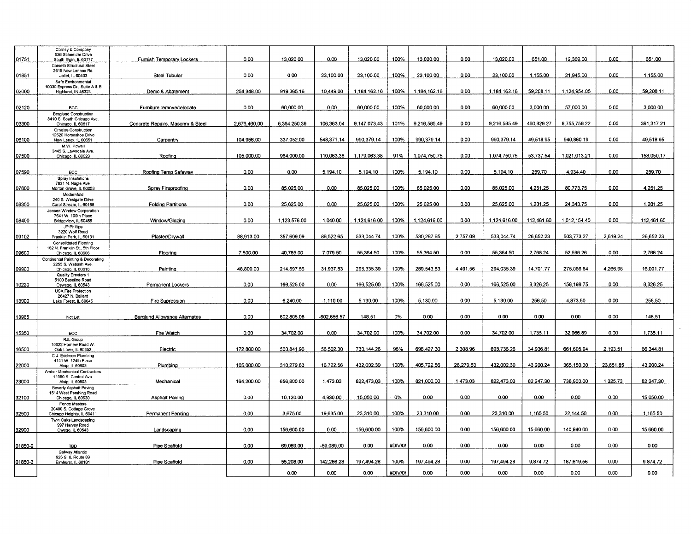|         | Carney & Company<br>636 Schneider Drive             |                                   |              |              |              |              |         |              |           |              |            |              |           |            |
|---------|-----------------------------------------------------|-----------------------------------|--------------|--------------|--------------|--------------|---------|--------------|-----------|--------------|------------|--------------|-----------|------------|
| 01751   | South Elgin, IL 60177                               | Furnish Temporary Lockers         | 0.00         | 13.020.00    | 0.00         | 13,020.00    | 100%    | 13,020.00    | 0.00      | 13.020.00    | 651.00     | 12,369.00    | 0.00      | 651.00     |
|         | Corsetti Structural Steel                           |                                   |              |              |              |              |         |              |           |              |            |              |           |            |
|         | 2515 New Lennox Rd.                                 |                                   |              |              |              |              |         |              |           |              |            |              |           |            |
| 01851   | Joliet, IL 60433                                    | Steel Tubular                     | 0.00         | 0.00         | 23.100.00    | 23,100.00    | 100%    | 23.100.00    | 0.00      | 23.100.00    | 1.155.00   | 21.945.00    | 0.00      | 1,155.00   |
|         | Safe Environmental                                  |                                   |              |              |              |              |         |              |           |              |            |              |           |            |
|         | 10030 Express Dr., Suite A & B                      |                                   |              |              |              |              |         |              |           |              |            |              |           |            |
| 02000   | Highland, IN 46323                                  | Demo & Abatement                  | 254,348.00   | 919,365.16   | 10.449.00    | 1,184,162.16 | 100%    | 1,184,162.16 | 0.00      | 1,184,162.16 | 59,208.11  | 1.124,954.05 | 0.00      | 59,208.11  |
|         |                                                     |                                   |              |              |              |              |         |              |           |              |            |              |           |            |
|         |                                                     |                                   |              |              |              |              |         |              |           |              |            |              |           |            |
| 02120   | <b>BCC</b>                                          | Furniture remove/relocate         | 0.00         | 60.000.00    | 0.00         | 60,000.00    | 100%    | 60,000.00    | 0.00      | 60,000.00    | 3.000.00   | 57.000.00    | 0.00      | 3,000.00   |
|         | <b>Berglund Construction</b>                        |                                   |              |              |              |              |         |              |           |              |            |              |           |            |
|         | 8410 S. South Chicago Ave.                          |                                   |              |              |              |              |         |              |           |              |            |              |           |            |
| 03300   | Chicago, IL 60617                                   | Concrete Repairs, Masonry & Steel | 2,676,460.00 | 6,364,250.39 | 106.363.04   | 9.147.073.43 | 101%    | 9.216.585.49 | 0.00      | 9.216.585.49 | 460.829.27 | 8,755,756.22 | 0.00      | 391.317.21 |
|         | Ornelas Construction                                |                                   |              |              |              |              |         |              |           |              |            |              |           |            |
|         | 12520 Horseshoe Drive                               |                                   |              |              |              |              |         |              |           |              |            |              |           |            |
| 06100   | New Lenox, IL 60651                                 | Carpentry                         | 104.956.00   | 337,052.00   | 548,371.14   | 990,379.14   | 100%    | 990,379.14   | 0.00      | 990,379.14   | 49,518.95  | 940,860.19   | 0.00      | 49,518.95  |
|         | M.W. Powell                                         |                                   |              |              |              |              |         |              |           |              |            |              |           |            |
|         | 3445 S. Lawndale Ave.                               |                                   | 105,000.00   | 964,000.00   | 110,063.38   | 1,179,063.38 | 91%     | 1,074,750.75 | 0.00      | 1,074,750.75 | 53,737.54  | 1,021,013.21 | 0.00      | 158,050.17 |
| 07500   | Chicago, IL 60623                                   | Roofing                           |              |              |              |              |         |              |           |              |            |              |           |            |
|         |                                                     |                                   |              |              |              |              |         |              |           |              |            |              |           |            |
| 07590   | <b>BCC</b>                                          | Roofing Temp Safeway              | 0.00         | 0.00         | 5.194.10     | 5,194.10     | 100%    | 5,194.10     | 0.00      | 5.194.10     | 259.70     | 4.934.40     | 0.00      | 259.70     |
|         | Spray Insulations                                   |                                   |              |              |              |              |         |              |           |              |            |              |           |            |
|         | 7831 N. Nagle Ave.                                  |                                   |              |              |              |              |         |              |           |              |            |              |           |            |
| 07800   | Morton Grove, IL 60053                              | Spray Fireproofing                | 0.00         | 85.025.00    | 0.00         | 85.025.00    | 100%    | 85.025.00    | 0.00      | 85,025.00    | 4,251.25   | 80,773.75    | 0.00      | 4,251.25   |
|         | Modernfold                                          |                                   |              |              |              |              |         |              |           |              |            |              |           |            |
|         | 240 S. Westgate Drive                               |                                   |              |              |              |              |         |              |           |              |            |              |           |            |
| 08350   | Carol Stream, IL 60188                              | <b>Folding Partitions</b>         | 0.00         | 25,625.00    | 0.00         | 25.625.00    | 100%    | 25.625.00    | 0.00      | 25.625.00    | 1,281.25   | 24.343.75    | 0.00      | 1.281.25   |
|         | Jensen Window Corporation                           |                                   |              |              |              |              |         |              |           |              |            |              |           |            |
|         | 7641 W. 100th Place                                 |                                   |              |              |              |              |         |              |           |              |            |              |           |            |
| 08400   | Bridgeview, IL 60455                                | Window/Glazing                    | 0.00         | 1.123.576.00 | 1.040.00     | 1.124.616.00 | 100%    | 1.124.616.00 | 0.00      | 1.124.616.00 | 112,461.60 | 1.012.154.40 | 0.00      | 112,461.60 |
|         | JP Phillips                                         |                                   |              |              |              |              |         |              |           |              |            |              |           |            |
|         | 3220 Wolf Road                                      |                                   |              |              |              |              |         |              |           |              |            |              |           |            |
| 09102   | Franklin Park, IL 60131                             | Plaster/Drywall                   | 88,913.00    | 357.609.09   | 86.522.65    | 533,044.74   | 100%    | 530,287.65   | 2,757.09  | 533,044.74   | 26,652.23  | 503,773.27   | 2,619.24  | 26,652.23  |
|         | <b>Consolidated Flooring</b>                        |                                   |              |              |              |              |         |              |           |              |            |              |           |            |
|         | 162 N. Franklin St., 5th Floor                      |                                   |              |              |              |              |         |              |           |              |            |              |           |            |
| 09600   | Chicago, IL 60606                                   | Flooring                          | 7,500.00     | 40,785.00    | 7.079.50     | 55.364.50    | 100%    | 55.364.50    | 0.00      | 55.364.50    | 2.768.24   | 52.596.26    | 0.00      | 2,768.24   |
|         | Continental Painting & Decorating                   |                                   |              |              |              |              |         |              |           |              |            |              |           |            |
|         | 2255 S. Wabash Ave.                                 |                                   |              |              |              |              |         |              |           |              |            |              |           |            |
| 09900   | Chicago, IL 60616                                   | Painting                          | 48.800.00    | 214.597.56   | 31.937.83    | 295.335.39   | 100%    | 289.543.83   | 4.491.56  | 294.035.39   | 14.701.77  | 275,066.64   | 4.266.98  | 16,001.77  |
|         | Quality Erectors 1                                  |                                   |              |              |              |              |         |              |           |              |            |              |           |            |
|         | 5100 Baseline Road                                  |                                   |              |              |              |              |         |              |           |              |            |              |           |            |
| 10220   | Oswego, IL 60543                                    | Permanent Lockers                 | 0.00         | 166,525.00   | 0.00         | 166,525.00   | 100%    | 166,525.00   | 0.00      | 166.525.00   | 8,326.25   | 158,198.75   | 0.00      | 8,326.25   |
|         | <b>USA Fire Protection</b>                          |                                   |              |              |              |              |         |              |           |              |            |              |           |            |
|         | 28427 N. Ballard                                    |                                   |              |              |              |              |         |              |           |              |            |              |           |            |
| 13900   | Lake Forest. IL 60045                               | Fire Supression                   | 0.00         | 6.240.00     | $-1.110.00$  | 5.130.00     | 100%    | 5.130.00     | 0.00      | 5.130.00     | 256.50     | 4.873.50     | 0.00      | 256.50     |
|         |                                                     |                                   |              |              |              |              |         |              |           |              |            |              |           |            |
|         |                                                     |                                   |              |              |              |              |         |              |           |              |            |              |           |            |
| 13965   | Not Let                                             | Berglund Allowance Alternates     | 0.00         | 602.805.08   | -602,656.57  | 148.51       | 0%      | 0.00         | 0.00      | 0.00         | 0.00       | 0.00         | 0.00      | 148.51     |
|         |                                                     |                                   |              |              |              |              |         |              |           |              |            |              |           |            |
|         |                                                     |                                   |              |              |              |              |         |              |           |              |            |              |           |            |
| 15350   | <b>BCC</b>                                          | Fire Watch                        | 0.00         | 34,702.00    | 0.00         | 34,702.00    | 100%    | 34,702.00    | 0.00      | 34,702.00    | 1.735.11   | 32.966.89    | 0.00      | 1,735.11   |
|         | RJL Group                                           |                                   |              |              |              |              |         |              |           |              |            |              |           |            |
|         | 10022 Harnew Road W.                                |                                   | 172.800.00   | 500.841.96   | 56,502.30    | 730.144.26   | 96%     | 696.427.30   | 2.308.96  | 698.736.26   | 34.936.81  | 661.605.94   | 2.193.51  | 66.344.81  |
| 16500   | Oak Lawn, IL 60453                                  | Electric                          |              |              |              |              |         |              |           |              |            |              |           |            |
|         | C.J. Erickson Plumbing                              |                                   |              |              |              |              |         |              |           |              |            |              |           |            |
|         | 4141 W. 124th Place                                 |                                   | 105,000.00   | 310,279.83   | 16,722.56    | 432,002.39   | 100%    | 405,722.56   | 26,279.83 | 432.002.39   | 43,200.24  | 365, 150.30  | 23,651.85 | 43,200.24  |
| 22000   | Alsip, IL 60803                                     | Plumbing                          |              |              |              |              |         |              |           |              |            |              |           |            |
|         | Amber Mechanical Contractors<br>11950 S Central Ave |                                   |              |              |              |              |         |              |           |              |            |              |           |            |
| 23000   | Alsip, IL 60803                                     | Mechanical                        | 164.200.00   | 656.800.00   | 1.473.03     | 822.473.03   | 100%    | 821.000.00   | 1.473.03  | 822.473.03   | 82.247.30  | 738.900.00   | 1.325.73  | 82,247.30  |
|         |                                                     |                                   |              |              |              |              |         |              |           |              |            |              |           |            |
|         | Beverly Asphalt Paving                              |                                   |              |              |              |              |         |              |           |              |            |              |           |            |
| 32100   | 1514 West Pershing Road<br>Chicago, IL 60630        | Asphalt Paving                    | 0.00         | 10.120.00    | 4,930.00     | 15,050.00    | 0%      | 0.00         | 0.00      | 0.00         | 0.00       | 0.00         | 0.00      | 15,050.00  |
|         | <b>Fence Masters</b>                                |                                   |              |              |              |              |         |              |           |              |            |              |           |            |
|         | 20400 S. Cottage Grove                              |                                   |              |              |              |              |         |              |           |              |            |              |           |            |
| 32500   | Chicago Heights, IL 60411                           | Permanent Fencing                 | 0.00         | 3,675.00     | 19.635.00    | 23,310.00    | 100%    | 23.310.00    | 0.00      | 23.310.00    | 1.165.50   | 22.144.50    | 0.00      | 1,165.50   |
|         | Twin Oaks Landscaping                               |                                   |              |              |              |              |         |              |           |              |            |              |           |            |
|         | 997 Harvey Road                                     |                                   |              |              |              |              |         |              |           |              |            |              |           |            |
| 32900   | Owego, IL 60543                                     | Landscaping                       | 0.00         | 156,600.00   | 0.00         | 156,600.00   | 100%    | 156,600.00   | 0.00      | 156,600.00   | 15,660.00  | 140.940.00   | 0.00      | 15,660.00  |
|         |                                                     |                                   |              |              |              |              |         |              |           |              |            |              |           |            |
|         |                                                     |                                   |              |              |              |              |         |              |           |              |            |              |           |            |
| 01850-2 | <b>TBD</b>                                          | Pipe Scaffold                     | 0.00         | 69,089.00    | $-69,089,00$ | 0.00         | #DIV/0! | 0.00         | 0.00      | 0.00         | 0.00       | 0.00         | 0.00      | 0.00       |
|         | Safway Atlantic                                     |                                   |              |              |              |              |         |              |           |              |            |              |           |            |
|         | 625 S. IL Route 83                                  |                                   |              |              |              |              |         |              |           |              |            |              |           |            |
| 01850-3 | Elmhurst, IL 60181                                  | Pipe Scaffold                     | 0.00         | 55,208.00    | 142,286.28   | 197.494.28   | 100%    | 197.494.28   | 0.00      | 197.494.28   | 9.874.72   | 187.619.56   | 0.00      | 9,874.72   |
|         |                                                     |                                   |              |              |              |              |         |              |           |              |            |              |           |            |
|         |                                                     |                                   |              | 0.00         | 0.00         | 0.00         | #DIV/0! | 0.00         | 0.00      | 0.00         | 0.00       | 0.00         | 0.00      | 0.00       |

 $\star$